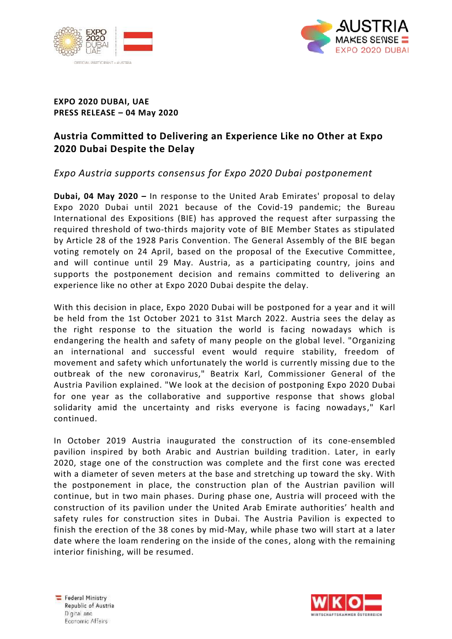



## **EXPO 2020 DUBAI, UAE PRESS RELEASE – 04 May 2020**

## **Austria Committed to Delivering an Experience Like no Other at Expo 2020 Dubai Despite the Delay**

## *Expo Austria supports consensus for Expo 2020 Dubai postponement*

**Dubai, 04 May 2020 –** In response to the United Arab Emirates' proposal to delay Expo 2020 Dubai until 2021 because of the Covid-19 pandemic; the Bureau International des Expositions (BIE) has approved the request after surpassing the required threshold of two-thirds majority vote of BIE Member States as stipulated by Article 28 of the 1928 Paris Convention. The General Assembly of the BIE began voting remotely on 24 April, based on the proposal of the Executive Committee, and will continue until 29 May. Austria, as a participating country, joins and supports the postponement decision and remains committed to delivering an experience like no other at Expo 2020 Dubai despite the delay.

With this decision in place, Expo 2020 Dubai will be postponed for a year and it will be held from the 1st October 2021 to 31st March 2022. Austria sees the delay as the right response to the situation the world is facing nowadays which is endangering the health and safety of many people on the global level. "Organizing an international and successful event would require stability, freedom of movement and safety which unfortunately the world is currently missing due to the outbreak of the new coronavirus," Beatrix Karl, Commissioner General of the Austria Pavilion explained. "We look at the decision of postponing Expo 2020 Dubai for one year as the collaborative and supportive response that shows global solidarity amid the uncertainty and risks everyone is facing nowadays," Karl continued.

In October 2019 Austria inaugurated the construction of its cone-ensembled pavilion inspired by both Arabic and Austrian building tradition. Later, in early 2020, stage one of the construction was complete and the first cone was erected with a diameter of seven meters at the base and stretching up toward the sky. With the postponement in place, the construction plan of the Austrian pavilion will continue, but in two main phases. During phase one, Austria will proceed with the construction of its pavilion under the United Arab Emirate authorities' health and safety rules for construction sites in Dubai. The Austria Pavilion is expected to finish the erection of the 38 cones by mid-May, while phase two will start at a later date where the loam rendering on the inside of the cones, along with the remaining interior finishing, will be resumed.

Federal Ministry Republic of Austria Digital and Economic Affeirs